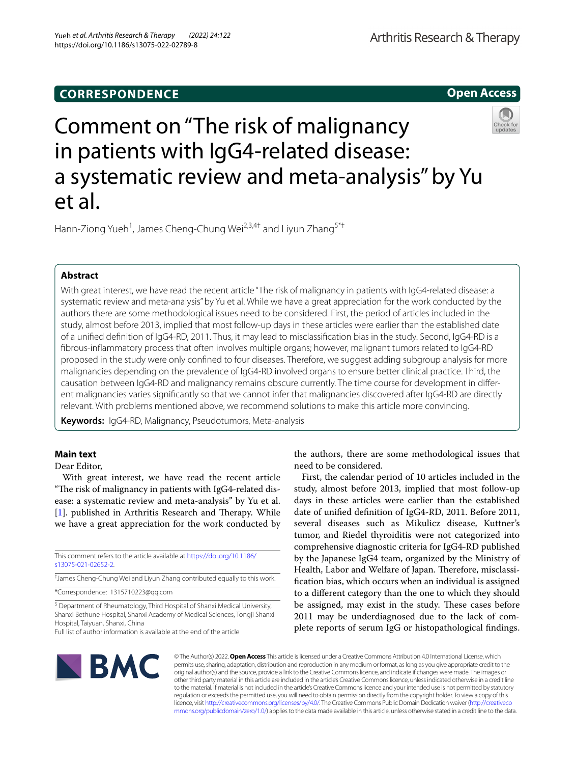# **CORRESPONDENCE**

**Open Access**

# Comment on "The risk of malignancy in patients with IgG4-related disease: a systematic review and meta-analysis" by Yu et al.

Hann-Ziong Yueh<sup>1</sup>, James Cheng-Chung Wei<sup>2,3,4†</sup> and Liyun Zhang<sup>5\*†</sup>

# **Abstract**

With great interest, we have read the recent article "The risk of malignancy in patients with IgG4-related disease: a systematic review and meta-analysis" by Yu et al. While we have a great appreciation for the work conducted by the authors there are some methodological issues need to be considered. First, the period of articles included in the study, almost before 2013, implied that most follow-up days in these articles were earlier than the established date of a unifed defnition of IgG4-RD, 2011. Thus, it may lead to misclassifcation bias in the study. Second, IgG4-RD is a fbrous-infammatory process that often involves multiple organs; however, malignant tumors related to IgG4-RD proposed in the study were only confned to four diseases. Therefore, we suggest adding subgroup analysis for more malignancies depending on the prevalence of IgG4-RD involved organs to ensure better clinical practice. Third, the causation between IgG4-RD and malignancy remains obscure currently. The time course for development in different malignancies varies signifcantly so that we cannot infer that malignancies discovered after IgG4-RD are directly relevant. With problems mentioned above, we recommend solutions to make this article more convincing.

**Keywords:** IgG4-RD, Malignancy, Pseudotumors, Meta-analysis

# **Main text**

Dear Editor,

With great interest, we have read the recent article "The risk of malignancy in patients with IgG4-related disease: a systematic review and meta-analysis" by Yu et al. [[1\]](#page-1-0). published in Arthritis Research and Therapy. While we have a great appreciation for the work conducted by

This comment refers to the article available at [https://doi.org/10.1186/](https://doi.org/10.1186/s13075-021-02652-2) [s13075-021-02652-2](https://doi.org/10.1186/s13075-021-02652-2).

† James Cheng-Chung Wei and Liyun Zhang contributed equally to this work.

\*Correspondence: 1315710223@qq.com

<sup>5</sup> Department of Rheumatology, Third Hospital of Shanxi Medical University, Shanxi Bethune Hospital, Shanxi Academy of Medical Sciences, Tongji Shanxi Hospital, Taiyuan, Shanxi, China

Full list of author information is available at the end of the article

the authors, there are some methodological issues that need to be considered.

First, the calendar period of 10 articles included in the study, almost before 2013, implied that most follow-up days in these articles were earlier than the established date of unifed defnition of IgG4-RD, 2011. Before 2011, several diseases such as Mikulicz disease, Kuttner's tumor, and Riedel thyroiditis were not categorized into comprehensive diagnostic criteria for IgG4-RD published by the Japanese IgG4 team, organized by the Ministry of Health, Labor and Welfare of Japan. Therefore, misclassifcation bias, which occurs when an individual is assigned to a diferent category than the one to which they should be assigned, may exist in the study. These cases before 2011 may be underdiagnosed due to the lack of complete reports of serum IgG or histopathological fndings.



© The Author(s) 2022. **Open Access** This article is licensed under a Creative Commons Attribution 4.0 International License, which permits use, sharing, adaptation, distribution and reproduction in any medium or format, as long as you give appropriate credit to the original author(s) and the source, provide a link to the Creative Commons licence, and indicate if changes were made. The images or other third party material in this article are included in the article's Creative Commons licence, unless indicated otherwise in a credit line to the material. If material is not included in the article's Creative Commons licence and your intended use is not permitted by statutory regulation or exceeds the permitted use, you will need to obtain permission directly from the copyright holder. To view a copy of this licence, visit [http://creativecommons.org/licenses/by/4.0/.](http://creativecommons.org/licenses/by/4.0/) The Creative Commons Public Domain Dedication waiver ([http://creativeco](http://creativecommons.org/publicdomain/zero/1.0/) [mmons.org/publicdomain/zero/1.0/](http://creativecommons.org/publicdomain/zero/1.0/)) applies to the data made available in this article, unless otherwise stated in a credit line to the data.